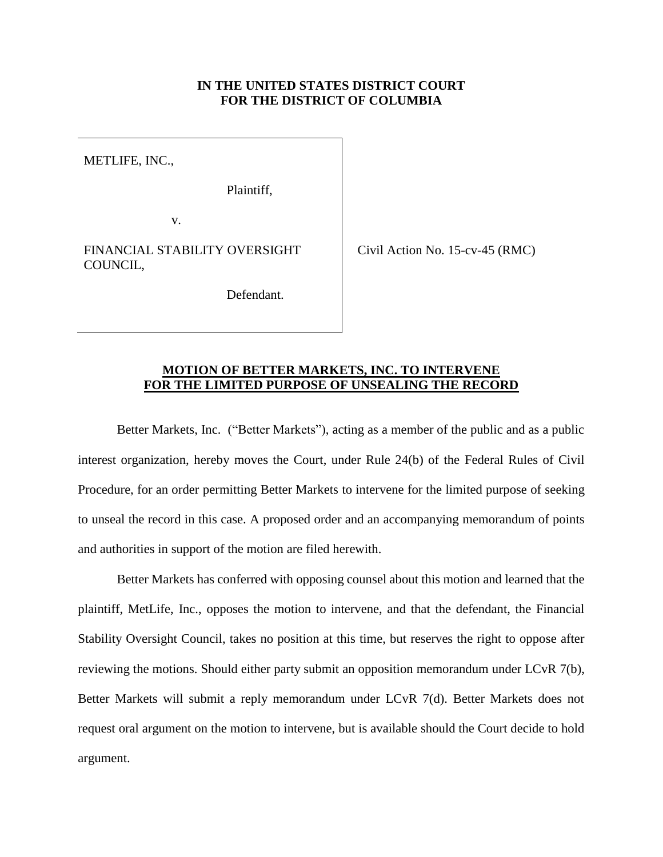## **IN THE UNITED STATES DISTRICT COURT FOR THE DISTRICT OF COLUMBIA**

METLIFE, INC.,

Plaintiff,

v.

FINANCIAL STABILITY OVERSIGHT COUNCIL,

Defendant.

Civil Action No. 15-cv-45 (RMC)

## **MOTION OF BETTER MARKETS, INC. TO INTERVENE FOR THE LIMITED PURPOSE OF UNSEALING THE RECORD**

Better Markets, Inc. ("Better Markets"), acting as a member of the public and as a public interest organization, hereby moves the Court, under Rule 24(b) of the Federal Rules of Civil Procedure, for an order permitting Better Markets to intervene for the limited purpose of seeking to unseal the record in this case. A proposed order and an accompanying memorandum of points and authorities in support of the motion are filed herewith.

Better Markets has conferred with opposing counsel about this motion and learned that the plaintiff, MetLife, Inc., opposes the motion to intervene, and that the defendant, the Financial Stability Oversight Council, takes no position at this time, but reserves the right to oppose after reviewing the motions. Should either party submit an opposition memorandum under LCvR 7(b), Better Markets will submit a reply memorandum under LCvR 7(d). Better Markets does not request oral argument on the motion to intervene, but is available should the Court decide to hold argument.